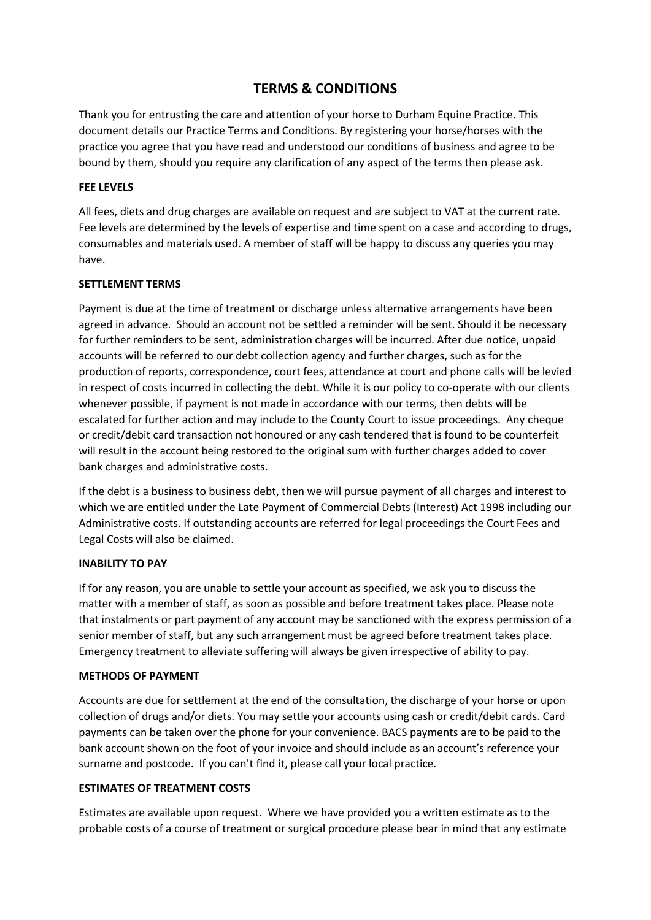# **TERMS & CONDITIONS**

Thank you for entrusting the care and attention of your horse to Durham Equine Practice. This document details our Practice Terms and Conditions. By registering your horse/horses with the practice you agree that you have read and understood our conditions of business and agree to be bound by them, should you require any clarification of any aspect of the terms then please ask.

#### **FEE LEVELS**

All fees, diets and drug charges are available on request and are subject to VAT at the current rate. Fee levels are determined by the levels of expertise and time spent on a case and according to drugs, consumables and materials used. A member of staff will be happy to discuss any queries you may have.

#### **SETTLEMENT TERMS**

Payment is due at the time of treatment or discharge unless alternative arrangements have been agreed in advance. Should an account not be settled a reminder will be sent. Should it be necessary for further reminders to be sent, administration charges will be incurred. After due notice, unpaid accounts will be referred to our debt collection agency and further charges, such as for the production of reports, correspondence, court fees, attendance at court and phone calls will be levied in respect of costs incurred in collecting the debt. While it is our policy to co-operate with our clients whenever possible, if payment is not made in accordance with our terms, then debts will be escalated for further action and may include to the County Court to issue proceedings. Any cheque or credit/debit card transaction not honoured or any cash tendered that is found to be counterfeit will result in the account being restored to the original sum with further charges added to cover bank charges and administrative costs.

If the debt is a business to business debt, then we will pursue payment of all charges and interest to which we are entitled under the Late Payment of Commercial Debts (Interest) Act 1998 including our Administrative costs. If outstanding accounts are referred for legal proceedings the Court Fees and Legal Costs will also be claimed.

#### **INABILITY TO PAY**

If for any reason, you are unable to settle your account as specified, we ask you to discuss the matter with a member of staff, as soon as possible and before treatment takes place. Please note that instalments or part payment of any account may be sanctioned with the express permission of a senior member of staff, but any such arrangement must be agreed before treatment takes place. Emergency treatment to alleviate suffering will always be given irrespective of ability to pay.

#### **METHODS OF PAYMENT**

Accounts are due for settlement at the end of the consultation, the discharge of your horse or upon collection of drugs and/or diets. You may settle your accounts using cash or credit/debit cards. Card payments can be taken over the phone for your convenience. BACS payments are to be paid to the bank account shown on the foot of your invoice and should include as an account's reference your surname and postcode. If you can't find it, please call your local practice.

#### **ESTIMATES OF TREATMENT COSTS**

Estimates are available upon request. Where we have provided you a written estimate as to the probable costs of a course of treatment or surgical procedure please bear in mind that any estimate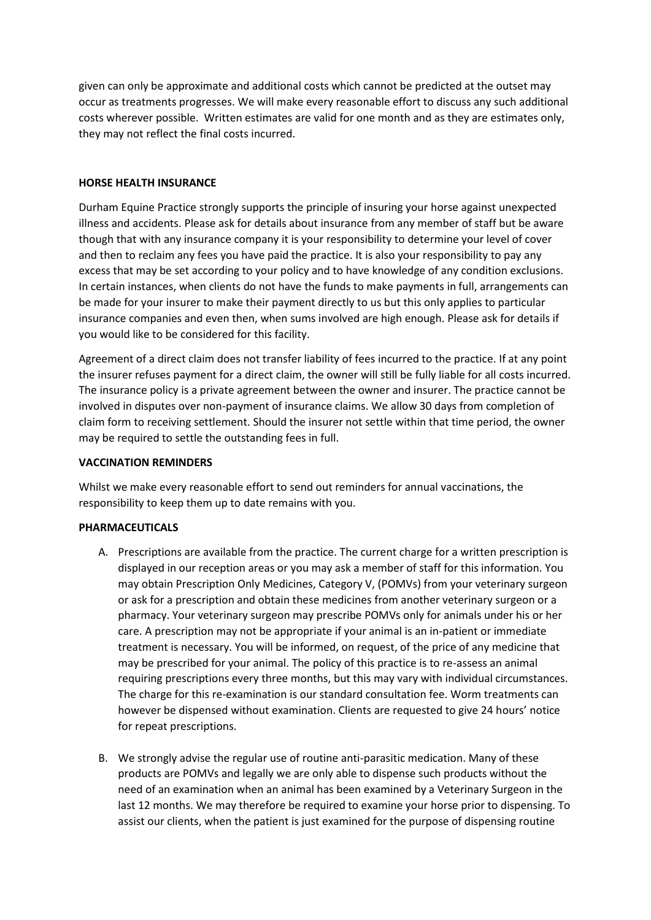given can only be approximate and additional costs which cannot be predicted at the outset may occur as treatments progresses. We will make every reasonable effort to discuss any such additional costs wherever possible. Written estimates are valid for one month and as they are estimates only, they may not reflect the final costs incurred.

#### **HORSE HEALTH INSURANCE**

Durham Equine Practice strongly supports the principle of insuring your horse against unexpected illness and accidents. Please ask for details about insurance from any member of staff but be aware though that with any insurance company it is your responsibility to determine your level of cover and then to reclaim any fees you have paid the practice. It is also your responsibility to pay any excess that may be set according to your policy and to have knowledge of any condition exclusions. In certain instances, when clients do not have the funds to make payments in full, arrangements can be made for your insurer to make their payment directly to us but this only applies to particular insurance companies and even then, when sums involved are high enough. Please ask for details if you would like to be considered for this facility.

Agreement of a direct claim does not transfer liability of fees incurred to the practice. If at any point the insurer refuses payment for a direct claim, the owner will still be fully liable for all costs incurred. The insurance policy is a private agreement between the owner and insurer. The practice cannot be involved in disputes over non-payment of insurance claims. We allow 30 days from completion of claim form to receiving settlement. Should the insurer not settle within that time period, the owner may be required to settle the outstanding fees in full.

#### **VACCINATION REMINDERS**

Whilst we make every reasonable effort to send out reminders for annual vaccinations, the responsibility to keep them up to date remains with you.

#### **PHARMACEUTICALS**

- A. Prescriptions are available from the practice. The current charge for a written prescription is displayed in our reception areas or you may ask a member of staff for this information. You may obtain Prescription Only Medicines, Category V, (POMVs) from your veterinary surgeon or ask for a prescription and obtain these medicines from another veterinary surgeon or a pharmacy. Your veterinary surgeon may prescribe POMVs only for animals under his or her care. A prescription may not be appropriate if your animal is an in-patient or immediate treatment is necessary. You will be informed, on request, of the price of any medicine that may be prescribed for your animal. The policy of this practice is to re-assess an animal requiring prescriptions every three months, but this may vary with individual circumstances. The charge for this re-examination is our standard consultation fee. Worm treatments can however be dispensed without examination. Clients are requested to give 24 hours' notice for repeat prescriptions.
- B. We strongly advise the regular use of routine anti-parasitic medication. Many of these products are POMVs and legally we are only able to dispense such products without the need of an examination when an animal has been examined by a Veterinary Surgeon in the last 12 months. We may therefore be required to examine your horse prior to dispensing. To assist our clients, when the patient is just examined for the purpose of dispensing routine